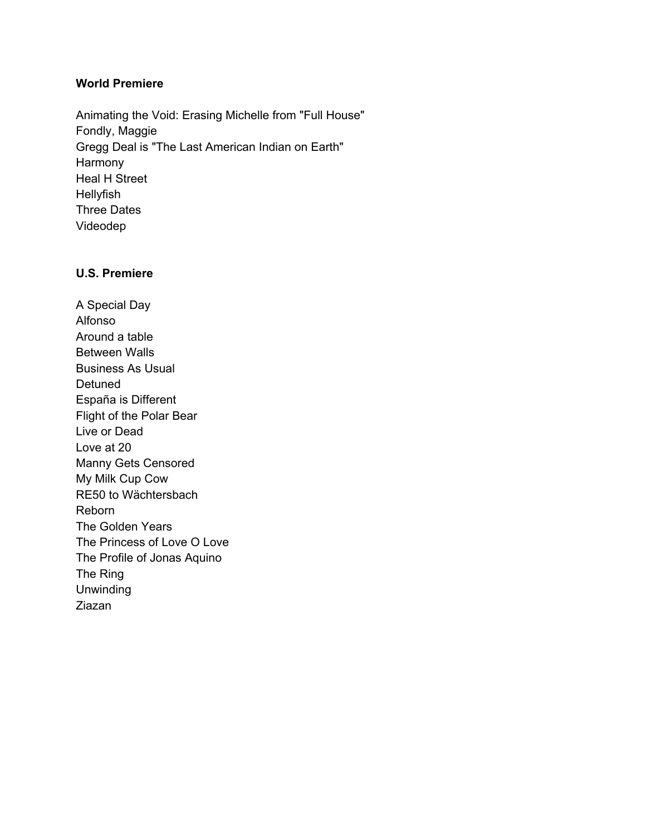## **World Premiere**

Animating the Void: Erasing Michelle from "Full House" Fondly, Maggie Gregg Deal is "The Last American Indian on Earth" Harmony Heal H Street Hellyfish Three Dates Videodep

## **U.S. Premiere**

A Special Day Alfonso Around a table Between Walls Business As Usual Detuned España is Different Flight of the Polar Bear Live or Dead Love at 20 Manny Gets Censored My Milk Cup Cow RE50 to Wächtersbach Reborn The Golden Years The Princess of Love O Love The Profile of Jonas Aquino The Ring Unwinding Ziazan